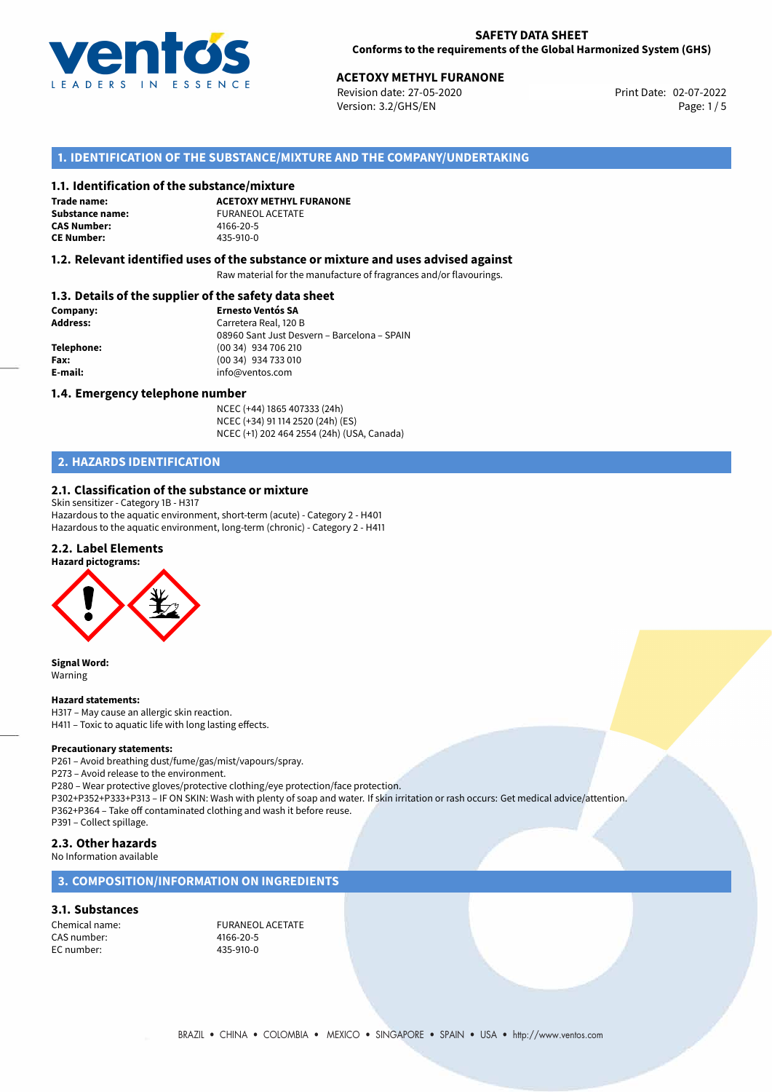

Revision date: 27-05-2020 Version: 3.2/GHS/EN Page: 1/5

## **1. IDENTIFICATION OF THE SUBSTANCE/MIXTURE AND THE COMPANY/UNDERTAKING**

#### **1.1. Identification of the substance/mixture**

**Trade name: CAS Number: CE Number:** 435-910-0

**ACETOXY METHYL FURANONE Substance name:** FURANEOL ACETATE<br> **CAS Number:** 4166-20-5

## **1.2. Relevant identified uses of the substance or mixture and uses advised against**

Raw material for the manufacture of fragrances and/or flavourings.

# **1.3. Details of the supplier of the safety data sheet**

| Company:        | <b>Ernesto Ventós SA</b>                    |  |
|-----------------|---------------------------------------------|--|
| <b>Address:</b> | Carretera Real, 120 B                       |  |
|                 | 08960 Sant Just Desvern - Barcelona - SPAIN |  |
| Telephone:      | (00 34) 934 706 210                         |  |
| Fax:            | (00 34) 934 733 010                         |  |
| E-mail:         | info@ventos.com                             |  |
|                 |                                             |  |

#### **1.4. Emergency telephone number**

NCEC (+44) 1865 407333 (24h) NCEC (+34) 91 114 2520 (24h) (ES) NCEC (+1) 202 464 2554 (24h) (USA, Canada)

# **2. HAZARDS IDENTIFICATION**

#### **2.1. Classification of the substance or mixture**

Skin sensitizer - Category 1B - H317 Hazardous to the aquatic environment, short-term (acute) - Category 2 - H401 Hazardous to the aquatic environment, long-term (chronic) - Category 2 - H411

## **2.2. Label Elements**

**Hazard pictograms:**



**Signal Word:** Warning

#### **Hazard statements:**

H317 – May cause an allergic skin reaction. H411 – Toxic to aquatic life with long lasting effects.

#### **Precautionary statements:**

P261 – Avoid breathing dust/fume/gas/mist/vapours/spray.

P273 – Avoid release to the environment.

P280 – Wear protective gloves/protective clothing/eye protection/face protection. P302+P352+P333+P313 – IF ON SKIN: Wash with plenty of soap and water. If skin irritation or rash occurs: Get medical advice/attention. P362+P364 – Take off contaminated clothing and wash it before reuse. P391 – Collect spillage.

## **2.3. Other hazards**

No Information available

## **3. COMPOSITION/INFORMATION ON INGREDIENTS**

## **3.1. Substances**

CAS number: 4166-20-5 EC number:

Chemical name:<br>
CAS number:<br>  $\frac{166-20.5}{4166-20.5}$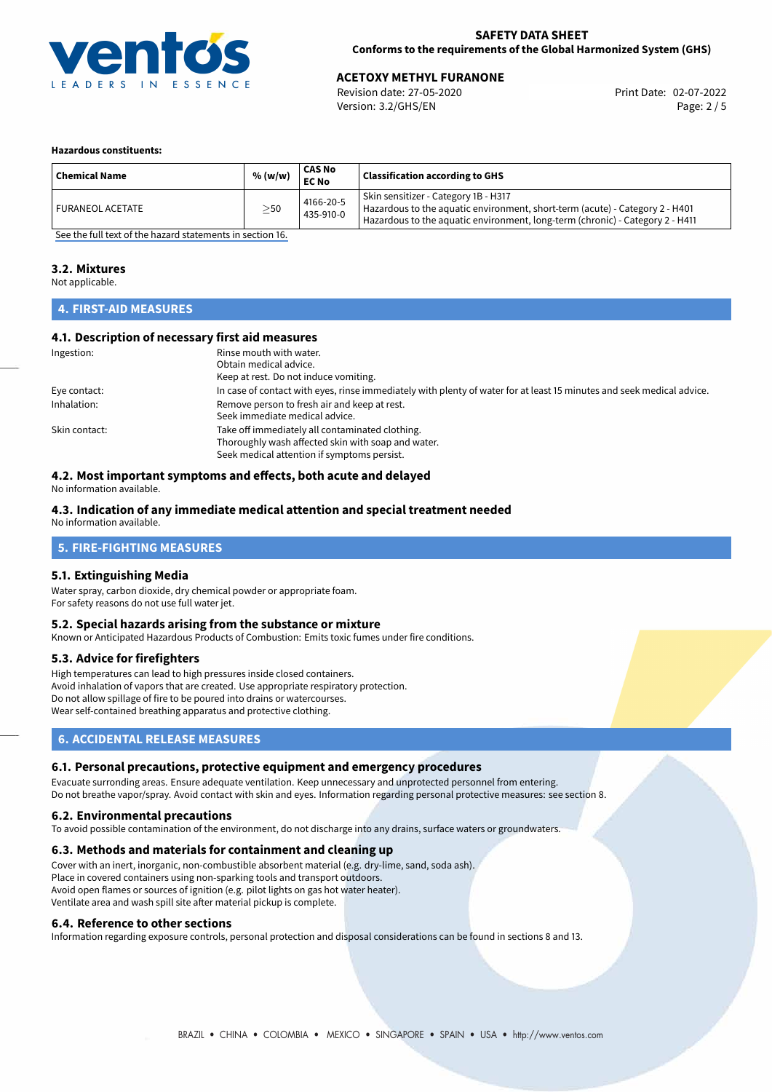

Revision date: 27-05-2020 Version: 3.2/GHS/EN Page: 2 / 5

#### **Hazardous constituents:**

| <b>Chemical Name</b>    | % (w/w)   | <b>CAS No</b><br><b>EC No</b> | <b>Classification according to GHS</b>                                                                                                                                                                |
|-------------------------|-----------|-------------------------------|-------------------------------------------------------------------------------------------------------------------------------------------------------------------------------------------------------|
| <b>FURANEOL ACETATE</b> | $\geq$ 50 | 4166-20-5<br>435-910-0        | Skin sensitizer - Category 1B - H317<br>Hazardous to the aquatic environment, short-term (acute) - Category 2 - H401<br>Hazardous to the aquatic environment, long-term (chronic) - Category 2 - H411 |

[See the full text of the hazard statements in section 16.](#page-4-0)

### **3.2. Mixtures**

Not applicable.

## **4. FIRST-AID MEASURES**

## **4.1. Description of necessary first aid measures**

| Ingestion:    | Rinse mouth with water.                                                                                               |
|---------------|-----------------------------------------------------------------------------------------------------------------------|
|               | Obtain medical advice.                                                                                                |
|               | Keep at rest. Do not induce vomiting.                                                                                 |
| Eye contact:  | In case of contact with eyes, rinse immediately with plenty of water for at least 15 minutes and seek medical advice. |
| Inhalation:   | Remove person to fresh air and keep at rest.                                                                          |
|               | Seek immediate medical advice.                                                                                        |
| Skin contact: | Take off immediately all contaminated clothing.                                                                       |
|               | Thoroughly wash affected skin with soap and water.                                                                    |
|               | Seek medical attention if symptoms persist.                                                                           |

## **4.2. Most important symptoms and effects, both acute and delayed**

No information available.

## **4.3. Indication of any immediate medical attention and special treatment needed**

No information available.

# **5. FIRE-FIGHTING MEASURES**

#### **5.1. Extinguishing Media**

Water spray, carbon dioxide, dry chemical powder or appropriate foam. For safety reasons do not use full water jet.

## **5.2. Special hazards arising from the substance or mixture**

Known or Anticipated Hazardous Products of Combustion: Emits toxic fumes under fire conditions.

#### **5.3. Advice for firefighters**

High temperatures can lead to high pressures inside closed containers. Avoid inhalation of vapors that are created. Use appropriate respiratory protection. Do not allow spillage of fire to be poured into drains or watercourses. Wear self-contained breathing apparatus and protective clothing.

## **6. ACCIDENTAL RELEASE MEASURES**

#### **6.1. Personal precautions, protective equipment and emergency procedures**

Evacuate surronding areas. Ensure adequate ventilation. Keep unnecessary and unprotected personnel from entering. Do not breathe vapor/spray. Avoid contact with skin and eyes. Information regarding personal protective measures: see section 8.

#### **6.2. Environmental precautions**

To avoid possible contamination of the environment, do not discharge into any drains, surface waters or groundwaters.

#### **6.3. Methods and materials for containment and cleaning up**

Cover with an inert, inorganic, non-combustible absorbent material (e.g. dry-lime, sand, soda ash). Place in covered containers using non-sparking tools and transport outdoors. Avoid open flames or sources of ignition (e.g. pilot lights on gas hot water heater). Ventilate area and wash spill site after material pickup is complete.

#### **6.4. Reference to other sections**

Information regarding exposure controls, personal protection and disposal considerations can be found in sections 8 and 13.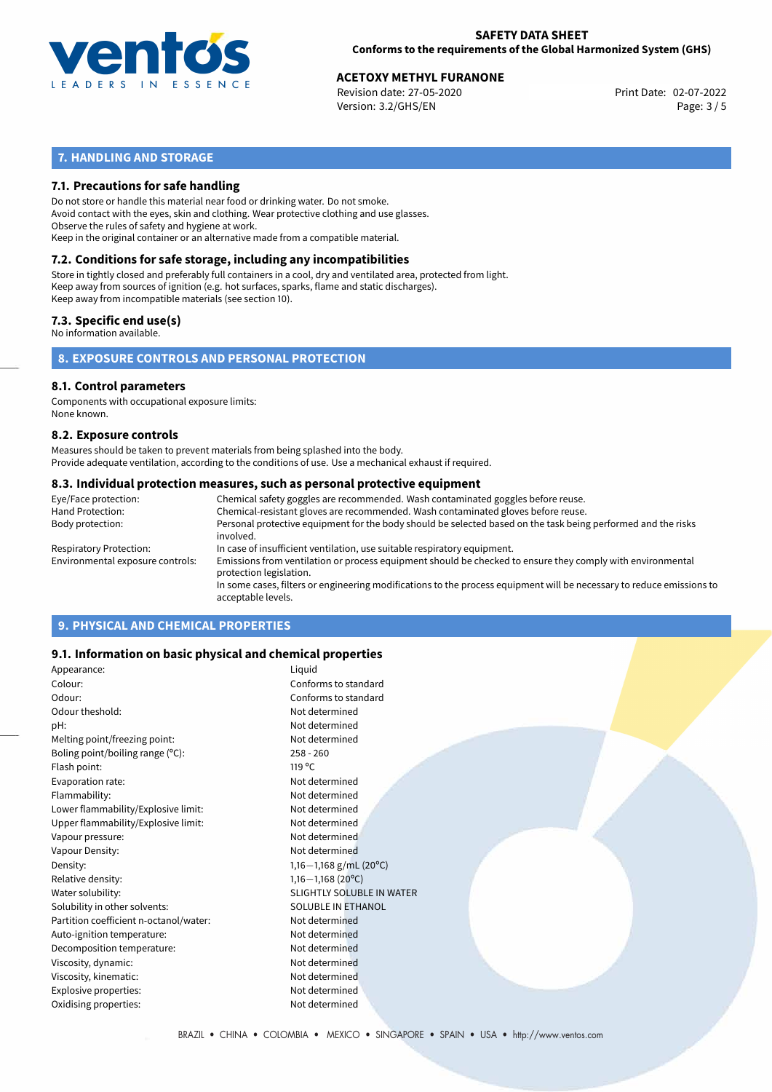

Revision date: 27-05-2020 Version: 3.2/GHS/EN Page: 3 / 5

# **7. HANDLING AND STORAGE**

## **7.1. Precautions for safe handling**

Do not store or handle this material near food or drinking water. Do not smoke. Avoid contact with the eyes, skin and clothing. Wear protective clothing and use glasses. Observe the rules of safety and hygiene at work. Keep in the original container or an alternative made from a compatible material.

# **7.2. Conditions for safe storage, including any incompatibilities**

Store in tightly closed and preferably full containers in a cool, dry and ventilated area, protected from light. Keep away from sources of ignition (e.g. hot surfaces, sparks, flame and static discharges). Keep away from incompatible materials (see section 10).

## **7.3. Specific end use(s)**

No information available.

**8. EXPOSURE CONTROLS AND PERSONAL PROTECTION**

### **8.1. Control parameters**

Components with occupational exposure limits: None known.

#### **8.2. Exposure controls**

Measures should be taken to prevent materials from being splashed into the body. Provide adequate ventilation, according to the conditions of use. Use a mechanical exhaust if required.

### **8.3. Individual protection measures, such as personal protective equipment**

| Eye/Face protection:             | Chemical safety goggles are recommended. Wash contaminated goggles before reuse.                                                            |
|----------------------------------|---------------------------------------------------------------------------------------------------------------------------------------------|
| Hand Protection:                 | Chemical-resistant gloves are recommended. Wash contaminated gloves before reuse.                                                           |
| Body protection:                 | Personal protective equipment for the body should be selected based on the task being performed and the risks<br>involved.                  |
| Respiratory Protection:          | In case of insufficient ventilation, use suitable respiratory equipment.                                                                    |
| Environmental exposure controls: | Emissions from ventilation or process equipment should be checked to ensure they comply with environmental<br>protection legislation.       |
|                                  | In some cases, filters or engineering modifications to the process equipment will be necessary to reduce emissions to<br>acceptable levels. |
|                                  |                                                                                                                                             |

# **9. PHYSICAL AND CHEMICAL PROPERTIES**

## **9.1. Information on basic physical and chemical properties**

| Appearance:                            | Liquid                    |
|----------------------------------------|---------------------------|
| Colour:                                | Conforms to standard      |
| Odour:                                 | Conforms to standard      |
| Odour theshold:                        | Not determined            |
| pH:                                    | Not determined            |
| Melting point/freezing point:          | Not determined            |
| Boling point/boiling range $(°C)$ :    | $258 - 260$               |
| Flash point:                           | 119 $\degree$ C           |
| Evaporation rate:                      | Not determined            |
| Flammability:                          | Not determined            |
| Lower flammability/Explosive limit:    | Not determined            |
| Upper flammability/Explosive limit:    | Not determined            |
| Vapour pressure:                       | Not determined            |
| Vapour Density:                        | Not determined            |
| Density:                               | 1,16-1,168 g/mL (20°C)    |
| Relative density:                      | $1,16-1,168(20^{\circ}C)$ |
| Water solubility:                      | SLIGHTLY SOLUBLE IN WATER |
| Solubility in other solvents:          | <b>SOLUBLE IN ETHANOL</b> |
| Partition coefficient n-octanol/water: | Not determined            |
| Auto-ignition temperature:             | Not determined            |
| Decomposition temperature:             | Not determined            |
| Viscosity, dynamic:                    | Not determined            |
| Viscosity, kinematic:                  | Not determined            |
| Explosive properties:                  | Not determined            |
| Oxidising properties:                  | Not determined            |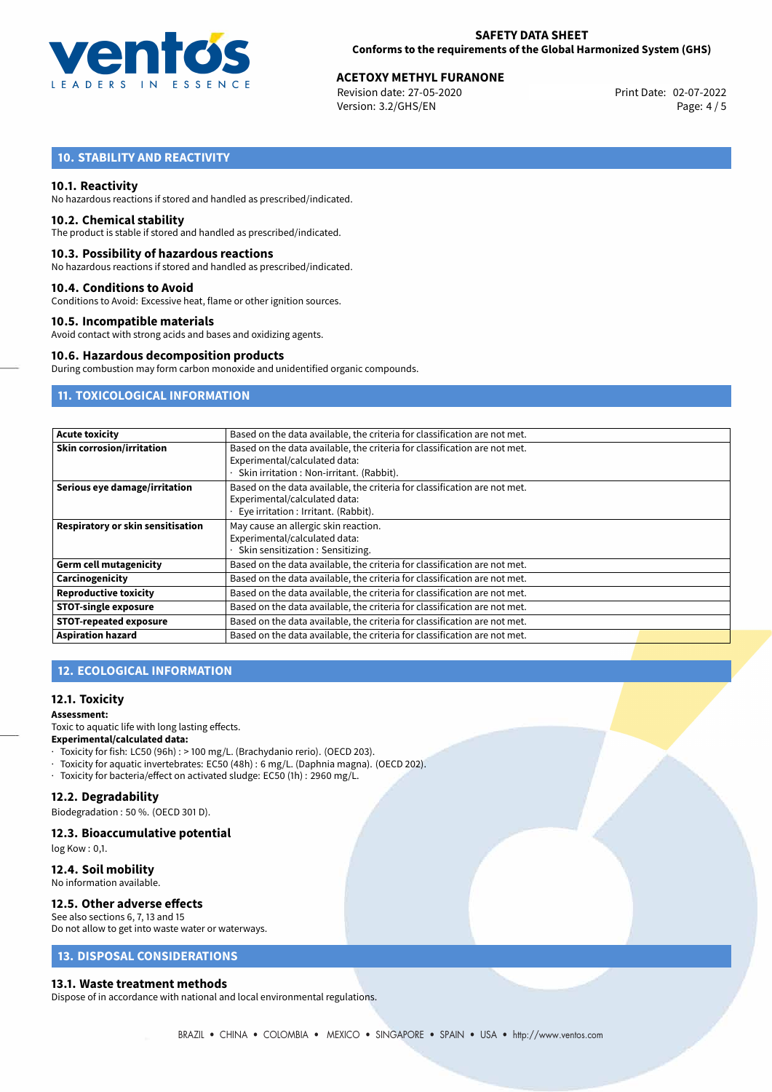

Revision date: 27-05-2020 Version: 3.2/GHS/EN Page: 4 / 5

# **10. STABILITY AND REACTIVITY**

## **10.1. Reactivity**

No hazardous reactions if stored and handled as prescribed/indicated.

#### **10.2. Chemical stability**

The product is stable if stored and handled as prescribed/indicated.

### **10.3. Possibility of hazardous reactions**

No hazardous reactions if stored and handled as prescribed/indicated.

### **10.4. Conditions to Avoid**

Conditions to Avoid: Excessive heat, flame or other ignition sources.

### **10.5. Incompatible materials**

Avoid contact with strong acids and bases and oxidizing agents.

#### **10.6. Hazardous decomposition products**

During combustion may form carbon monoxide and unidentified organic compounds.

# **11. TOXICOLOGICAL INFORMATION**

| <b>Acute toxicity</b>             | Based on the data available, the criteria for classification are not met. |  |  |  |
|-----------------------------------|---------------------------------------------------------------------------|--|--|--|
| <b>Skin corrosion/irritation</b>  | Based on the data available, the criteria for classification are not met. |  |  |  |
|                                   | Experimental/calculated data:                                             |  |  |  |
|                                   | Skin irritation: Non-irritant. (Rabbit).                                  |  |  |  |
| Serious eye damage/irritation     | Based on the data available, the criteria for classification are not met. |  |  |  |
|                                   | Experimental/calculated data:                                             |  |  |  |
|                                   | Eye irritation : Irritant. (Rabbit).                                      |  |  |  |
| Respiratory or skin sensitisation | May cause an allergic skin reaction.                                      |  |  |  |
|                                   | Experimental/calculated data:                                             |  |  |  |
|                                   | Skin sensitization: Sensitizing.                                          |  |  |  |
| <b>Germ cell mutagenicity</b>     | Based on the data available, the criteria for classification are not met. |  |  |  |
| Carcinogenicity                   | Based on the data available, the criteria for classification are not met. |  |  |  |
| <b>Reproductive toxicity</b>      | Based on the data available, the criteria for classification are not met. |  |  |  |
| <b>STOT-single exposure</b>       | Based on the data available, the criteria for classification are not met. |  |  |  |
| <b>STOT-repeated exposure</b>     | Based on the data available, the criteria for classification are not met. |  |  |  |
| <b>Aspiration hazard</b>          | Based on the data available, the criteria for classification are not met. |  |  |  |

# **12. ECOLOGICAL INFORMATION**

#### **12.1. Toxicity**

#### **Assessment:**

Toxic to aquatic life with long lasting effects. **Experimental/calculated data:**

- · Toxicity for fish: LC50 (96h) : > 100 mg/L. (Brachydanio rerio). (OECD 203).
- · Toxicity for aquatic invertebrates: EC50 (48h) : 6 mg/L. (Daphnia magna). (OECD 202).
- · Toxicity for bacteria/effect on activated sludge: EC50 (1h) : 2960 mg/L.

## **12.2. Degradability**

Biodegradation : 50 %. (OECD 301 D).

#### **12.3. Bioaccumulative potential**

log Kow : 0,1.

# **12.4. Soil mobility**

No information available.

# **12.5. Other adverse effects**

See also sections 6, 7, 13 and 15 Do not allow to get into waste water or waterways.

# **13. DISPOSAL CONSIDERATIONS**

#### **13.1. Waste treatment methods**

Dispose of in accordance with national and local environmental regulations.